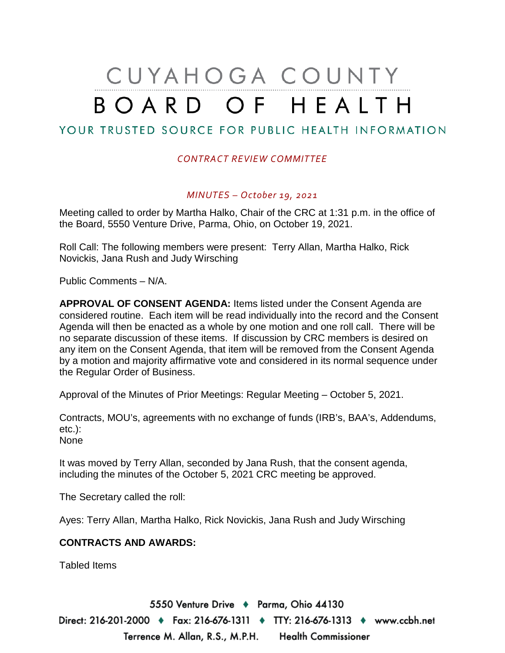# CUYAHOGA COUNTY BOARD OF HEALTH

### YOUR TRUSTED SOURCE FOR PUBLIC HEALTH INFORMATION

#### *CONTRACT REVIEW COMMITTEE*

#### *MINUTES – October 19, 2021*

Meeting called to order by Martha Halko, Chair of the CRC at 1:31 p.m. in the office of the Board, 5550 Venture Drive, Parma, Ohio, on October 19, 2021.

Roll Call: The following members were present: Terry Allan, Martha Halko, Rick Novickis, Jana Rush and Judy Wirsching

Public Comments – N/A.

**APPROVAL OF CONSENT AGENDA:** Items listed under the Consent Agenda are considered routine. Each item will be read individually into the record and the Consent Agenda will then be enacted as a whole by one motion and one roll call. There will be no separate discussion of these items. If discussion by CRC members is desired on any item on the Consent Agenda, that item will be removed from the Consent Agenda by a motion and majority affirmative vote and considered in its normal sequence under the Regular Order of Business.

Approval of the Minutes of Prior Meetings: Regular Meeting – October 5, 2021.

Contracts, MOU's, agreements with no exchange of funds (IRB's, BAA's, Addendums, etc.):

None

It was moved by Terry Allan, seconded by Jana Rush, that the consent agenda, including the minutes of the October 5, 2021 CRC meeting be approved.

The Secretary called the roll:

Ayes: Terry Allan, Martha Halko, Rick Novickis, Jana Rush and Judy Wirsching

#### **CONTRACTS AND AWARDS:**

Tabled Items

5550 Venture Drive + Parma, Ohio 44130 Direct: 216-201-2000 ♦ Fax: 216-676-1311 ♦ TTY: 216-676-1313 ♦ www.ccbh.net Terrence M. Allan, R.S., M.P.H. Health Commissioner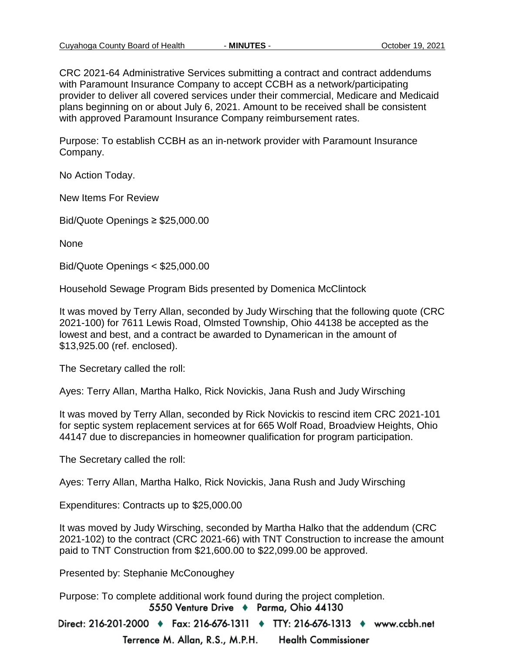CRC 2021-64 Administrative Services submitting a contract and contract addendums with Paramount Insurance Company to accept CCBH as a network/participating provider to deliver all covered services under their commercial, Medicare and Medicaid plans beginning on or about July 6, 2021. Amount to be received shall be consistent with approved Paramount Insurance Company reimbursement rates.

Purpose: To establish CCBH as an in-network provider with Paramount Insurance Company.

No Action Today.

New Items For Review

Bid/Quote Openings ≥ \$25,000.00

None

Bid/Quote Openings < \$25,000.00

Household Sewage Program Bids presented by Domenica McClintock

It was moved by Terry Allan, seconded by Judy Wirsching that the following quote (CRC 2021-100) for 7611 Lewis Road, Olmsted Township, Ohio 44138 be accepted as the lowest and best, and a contract be awarded to Dynamerican in the amount of \$13,925.00 (ref. enclosed).

The Secretary called the roll:

Ayes: Terry Allan, Martha Halko, Rick Novickis, Jana Rush and Judy Wirsching

It was moved by Terry Allan, seconded by Rick Novickis to rescind item CRC 2021-101 for septic system replacement services at for 665 Wolf Road, Broadview Heights, Ohio 44147 due to discrepancies in homeowner qualification for program participation.

The Secretary called the roll:

Ayes: Terry Allan, Martha Halko, Rick Novickis, Jana Rush and Judy Wirsching

Expenditures: Contracts up to \$25,000.00

It was moved by Judy Wirsching, seconded by Martha Halko that the addendum (CRC 2021-102) to the contract (CRC 2021-66) with TNT Construction to increase the amount paid to TNT Construction from \$21,600.00 to \$22,099.00 be approved.

Presented by: Stephanie McConoughey

Purpose: To complete additional work found during the project completion.5550 Venture Drive + Parma, Ohio 44130

Direct: 216-201-2000 • Fax: 216-676-1311 • TTY: 216-676-1313 • www.ccbh.net Terrence M. Allan, R.S., M.P.H. **Health Commissioner**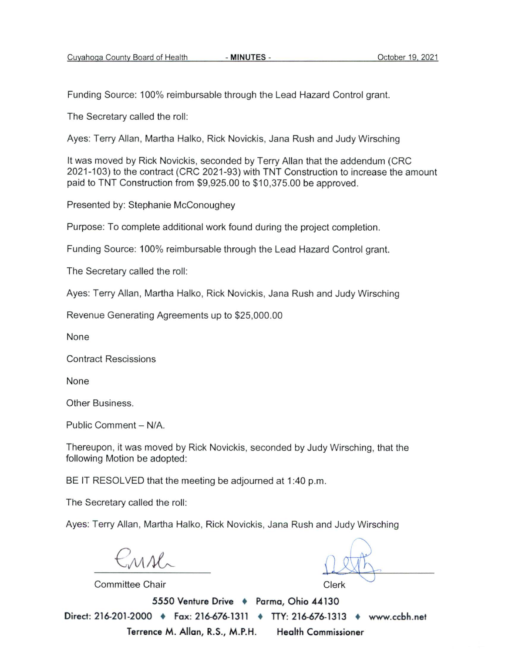Funding Source: 100% reimbursable through the Lead Hazard Control grant.

The Secretary called the roll:

Ayes: Terry Allan, Martha Halko, Rick Novickis, Jana Rush and Judy Wirsching

It was moved by Rick Novickis, seconded by Terry Allan that the addendum (CRC 2021-103) to the contract (CRC 2021-93) with TNT Construction to increase the amount paid to TNT Construction from \$9,925.00 to \$10,375.00 be approved.

Presented by: Stephanie McConoughey

Purpose: To complete additional work found during the project completion.

Funding Source: 100% reimbursable through the Lead Hazard Control grant.

The Secretary called the roll:

Ayes: Terry Allan, Martha Halko, Rick Novickis, Jana Rush and Judy Wirsching

Revenue Generating Agreements up to \$25,000.00

None

**Contract Rescissions** 

None

Other Business.

Public Comment - N/A.

Thereupon, it was moved by Rick Novickis, seconded by Judy Wirsching, that the following Motion be adopted:

BE IT RESOLVED that the meeting be adjourned at 1:40 p.m.

The Secretary called the roll:

Ayes: Terry Allan, Martha Halko, Rick Novickis, Jana Rush and Judy Wirsching

 $110$ 

**Committee Chair** 

Clerk

5550 Venture Drive + Parma, Ohio 44130 Direct: 216-201-2000 • Fax: 216-676-1311 • TTY: 216-676-1313 • www.ccbh.net Terrence M. Allan, R.S., M.P.H. Health Commissioner